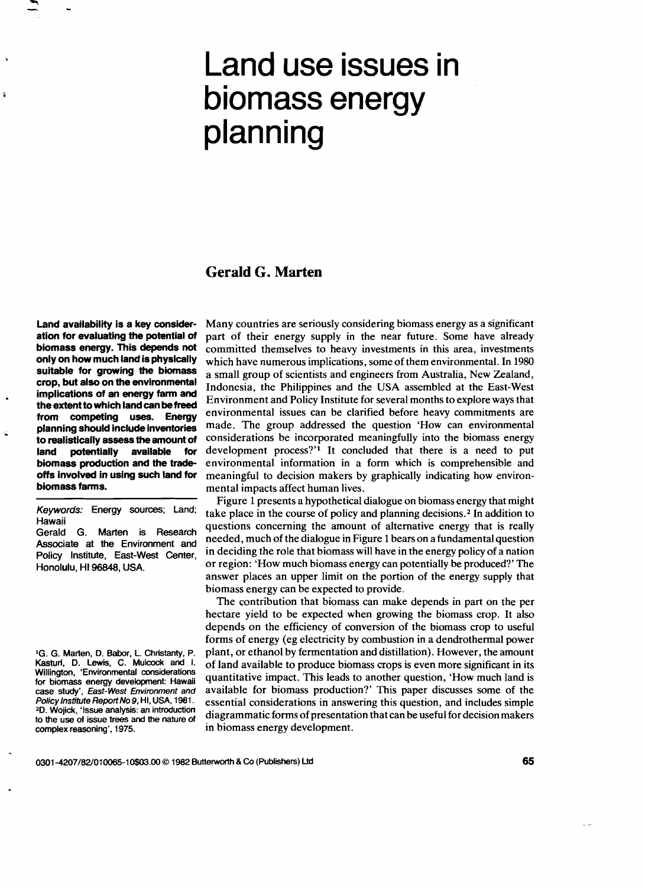# **Land use issues in biomass energy planning**

## Gerald G. Marten

Land availability is a key consideration for evaluating the potential of biomass energy. This depends not only on how much land is physically suitable for growing the biomass crop, but also on the environmental implications of an energy farm and the extent to which land can be freed from competing uses. Energy planning should include inventories to realistically assess the amount of land potentially available for biomass production and the tradeoffs involved in using such land for biomass farms.

Keywords: Energy sources; Land; Hawaii

G. Marten is Research Associate at the Environment and Policy Institute, East-West Center, Honolulu, HI 96848, USA.

1G. G. Marten, D. Babor, L. Christanty, P. Kasturi, O. Lewis, C. Mulcock and I. Willington, 'Environmental considerations for biomass energy development: Hawaii case study', East-West Environment and Policy Institute Report No 9, HI, USA, 1981. 20. Wojick, 'Issue analysis: an introduction to the use of issue trees and the nature of complex reasoning', 1975.

Many countries are seriously considering biomass energy as a significant part of their energy supply in the near future. Some have already committed themselves to heavy investments in this area, investments which have numerous implications, some of them environmental. In 1980 a small group of scientists and engineers from Australia, New Zealand, Indonesia, the Philippines and the USA assembled at the East-West Environment and Policy Institute for several months to explore ways that environmental issues can be clarified before heavy commitments are made. The group addressed the question 'How can environmental considerations be incorporated meaningfully into the biomass energy development process?'<sup>1</sup> It concluded that there is a need to put environmental information in a form which is comprehensible and meaningful to decision makers by graphically indicating how environmental impacts affect human lives.

Figure 1 presents a hypothetical dialogue on biomass energy that might take place in the course of policy and planning decisions. 2 In addition to questions concerning the amount of alternative energy that is really needed, much of the dialogue in Figure 1 bears on a fundamental question in deciding the role that biomass will have in the energy policy of a nation or region: 'How much biomass energy can potentially be produced?' The answer places an upper limit on the portion of the energy supply that biomass energy can be expected to provide.

The contribution that biomass can make depends in part on the per hectare yield to be expected when growing the biomass crop. It also depends on the efficiency of conversion of the biomass crop to useful forms of energy (eg electricity by combustion in a dendrothermal power plant, or ethanol by fermentation and distillation). However, the amount of land available to produce biomass crops is even more significant in its quantitative impact. This leads to another question, 'How much land is available for biomass production?' This paper discusses some of the essential considerations in answering this question, and includes simple diagrammatic forms of presentation that can be useful for decision makers in biomass energy development.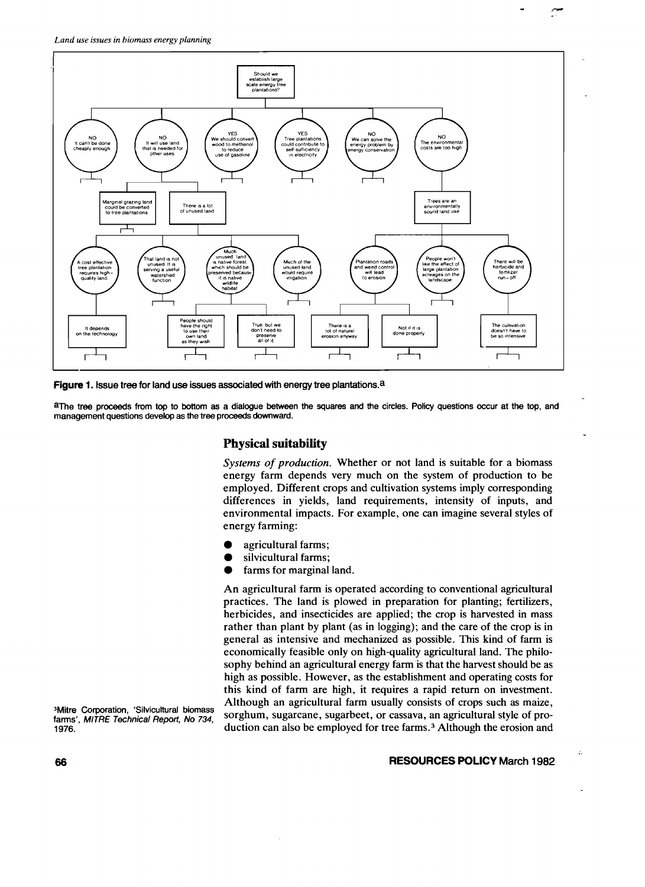*Land use issues in biomass energy planning* 



**Figure 1.** Issue tree for land use issues associated with energy tree plantations.<sup>a</sup>

aThe tree proceeds from top to bottom as a dialogue between the squares and the circles. Policy questions occur at the top, and management questions develop as the tree proceeds downward.

## **Physical suitability**

*Systems of production.* Whether or not land is suitable for a biomass energy farm depends very much on the system of production to be employed. Different crops and cultivation systems imply corresponding differences in yields, land requirements, intensity of inputs, and environmental impacts. For example, one can imagine several styles of energy farming:

- agricultural farms;
- silvicultural farms;
- farms for marginal land.

An agricultural farm is operated according to conventional agricultural practices. The land is plowed in preparation for planting; fertilizers, herbicides, and insecticides are applied; the crop is harvested in mass rather than plant by plant (as in logging); and the care of the crop is in general as intensive and mechanized as possible. This kind of farm is economically feasible only on high-quality agricultural land. The philosophy behind an agricultural energy farm is that the harvest should be as high as possible. However, as the establishment and operating costs for this kind of farm are high, it requires a rapid return on investment. <sup>3</sup>Mitre Corporation, 'Silvicultural biomass<br>farms', MITRE Technical Report, No 734, sorghum, sugarcane, sugarbeet, or cassava, an agricultural style of pro-1976.  $\frac{1}{2}$  is the erosion can also be employed for tree farms.<sup>3</sup> Although the erosion and

66 **RESOURCES POLICY** March 1982

ź.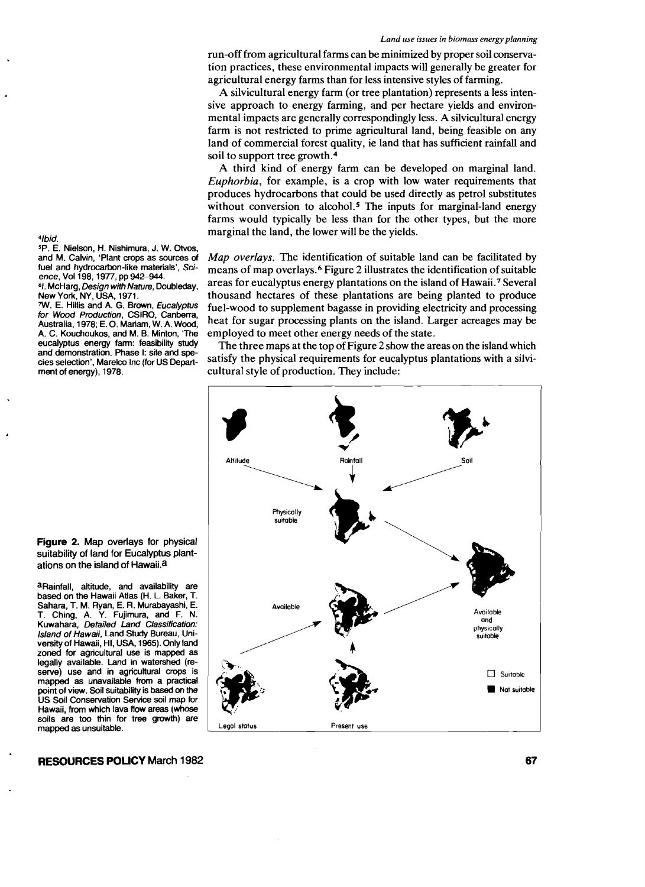run-off from agricultural farms can be minimized by proper soil conservation practices, these environmental impacts will generally be greater for agricultural energy farms than for less intensive styles of farming.

A silvicultural energy farm (or tree plantation) represents a less intensive approach to energy farming, and per hectare yields and environmental impacts are generally correspondingly less. A silvicultural energy farm is not restricted to prime agricultural land, being feasible on any land of commercial forest quality, ie land that has sufficient rainfall and soil to support tree growth. <sup>4</sup>

A third kind of energy farm can be developed on marginal land. *Euphorbia,* for example, is a crop with low water requirements that produces hydrocarbons that could be used directly as petrol substitutes without conversion to alcohol.<sup>5</sup> The inputs for marginal-land energy farms would typically be less than for the other types, but the more marginal the land, the lower will be the yields.

means of map overlays.<sup>6</sup> Figure 2 illustrates the identification of suitable *Map overlays.* The identification of suitable land can be facilitated by areas for eucalyptus energy plantations on the island of Hawaii. 7 Several thousand hectares of these plantations are being planted to produce fuel-wood to supplement bagasse in providing electricity and processing heat for sugar processing plants on the island. Larger acreages may be employed to meet other energy needs of the state.

The three maps at the top of Figure 2 show the areas on the island which satisfy the physical requirements for eucalyptus plantations with a silvicultural style of production. They include:



**Figure** 2. Map overlays for physical suitability of land for Eucalyptus plantations on the island of Hawaii.<sup>a</sup>

aRainfall, altitude, and availability are based on the Hawaii Atlas (H. L. Baker, T. Sahara, T. M. Ryan, E. R. Murabayashi, E. T. Ching, A. Y. Fujimura, and F. N. Kuwahara, Detailed Land Classification: Island of Hawaii, Land Study Bureau, University of Hawaii, HI, USA, 1965). Only land zoned for agricultural use is mapped as legally available. Land in watershed (reserve) use and in agricultural crops is mapped as unavailable from a practical point of view. Soil suitability is based on the US Soil Conservation Service soil map tor Hawaii, from which lava flow areas (whose soils are too thin for tree growth) are mapped as unsuitable.

#### 4lbid.

sp. E. Nielson, H. Nishimura, J. W. Otvos, and M. Calvin, 'Plant crops as sources of fuel and hydrocarbon-like materials', Sci ence, Vol 198, 1977, pp 942-944.

6/. McHarg, Design with Nature, Doubleday, New York, NY, USA, 1971.

"TW. E. Hillis and A. G. Brown, Eucalyptus for Wood Production, CSIRO, Canberra, Australia, 1978; E. 0. Mariam, W. A. Wood, A. C. Kouchoukos, and M. B. Minton, 'The eucalyptus energy farm: feasibility study and demonstration. Phase I: site and species selection', Marelco Inc (for US Department of energy), 1978.

**RESOURCES POLICY** March 1982 **67**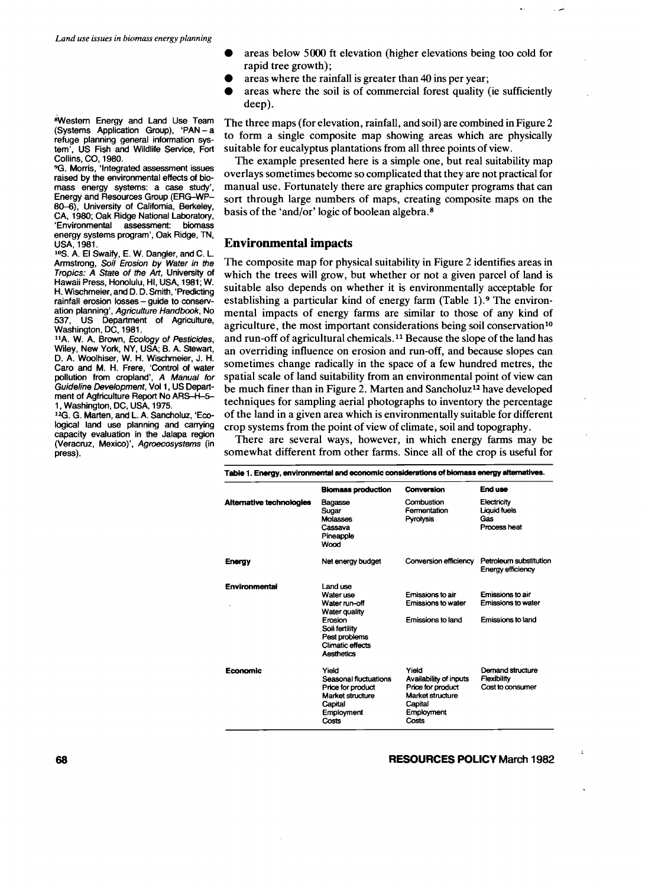*Land use issues in biomass energy planning* 

- areas below 5000 ft elevation (higher elevations being too cold for rapid tree growth);
- areas where the rainfall is greater than 40 ins per year;
- areas where the soil is of commercial forest quality (ie sufficiently deep).

The three maps (for elevation, rainfall, and soil) are combined in Figure 2 to form a single composite map showing areas which are physically suitable for eucalyptus plantations from all three points of view.

The example presented here is a simple one, but real suitability map overlays sometimes become so complicated that they are not practical for manual use. Fortunately there are graphics computer programs that can sort through large numbers of maps, creating composite maps on the basis of the 'and/or' logic of boolean algebra. <sup>8</sup>

## Environmental impacts

The composite map for physical suitability in Figure 2 identifies areas in which the trees will grow, but whether or not a given parcel of land is suitable also depends on whether it is environmentally acceptable for establishing a particular kind of energy farm (Table 1).<sup>9</sup> The environmental impacts of energy farms are similar to those of any kind of agriculture, the most important considerations being soil conservation<sup>10</sup> and run-off of agricultural chemicals. 11 Because the slope of the land has an overriding influence on erosion and run-off, and because slopes can sometimes change radically in the space of a few hundred metres, the spatial scale of land suitability from an environmental point of view can be much finer than in Figure 2. Marten and Sancholuz<sup>12</sup> have developed techniques for sampling aerial photographs to inventory the percentage of the land in a given area which is environmentally suitable for different crop systems from the point of view of climate, soil and topography.

There are several ways, however, in which energy farms may be somewhat different from other farms. Since all of the crop is useful for

Table 1. Energy, environmental and economic considerations of biomass energy alternatives. Alternative technologies Energy **Environmental** Economic **Biomass production** Bagasse Sugar Molasses Cassava Pineapple Wood Net energy budget Land use Water use Water run-off Water quality Erosion Soil fertility Pest problems Climatic effects Aesthetics Yield Seasonal fluctuations Price for product Market structure Capital Employment Costs Conversion **Combustion** Fermentation **Pyrolysis** Conversion efficiency Emissions to air Emissions to water Emissions to land Yield Availability of inputs Price for product Market structure Capital **Employment** Costs End use **Electricity** Liquid fuels Gas Process heat Petroleum substitution Energy efficiency Emissions to air Emissions to water Emissions to land Demand structure Flexibility Cost to consumer

68 **RESOURCES POLICY** March 1982

8Westem Energy and Land Use Team (Systems Application Group), 'PAN - a refuge planning general information system', US Fish and Wildlife Service, Fort Collins, CO, 1980.

9G. Morris, 'Integrated assessment issues raised by the environmental effects of bio mass energy systems: a case study', Energy and Resources Group (ERG-WP 80-6), University of California, Berkeley, CA, 1980; Oak Ridge National Laboratory,<br>'Environmental assessment: biomass 'Environmental energy systems program', Oak Ridge, TN, USA,1981.

10S. A. El Swaify, E. W. Dangler, and C. L. Armstrong, Soil Erosion by Water in the Tropics: A State of the Art, University of Hawaii Press, Honolulu, HI, USA, 1981; W. H. Wischmeier, and D. D. Smith, 'Predicting rainfall erosion losses - guide to conservation planning', Agriculture Handbook, No 537, US Department of Agriculture, Washington, DC, 1981.

11A. W. A. Brown, Ecology of Pesticides, Wiley, New York, NY, USA; B. A. Stewart, D. A. Woolhiser, W. H. Wischmeier, J. H. Caro and M. H. Frere, 'Control of water pollution from cropland', A Manual for Guideline Development, Vol 1, US Depart ment of Agfriculture Report No ARS-H-5-1, Washington, DC, USA, 1975.

12G. G. Marten, and L. A. Sancholuz, 'Eco logical land use planning and carrying capacity evaluation in the Jalapa region (Veracruz, Mexico)', Agroecosystems (in press).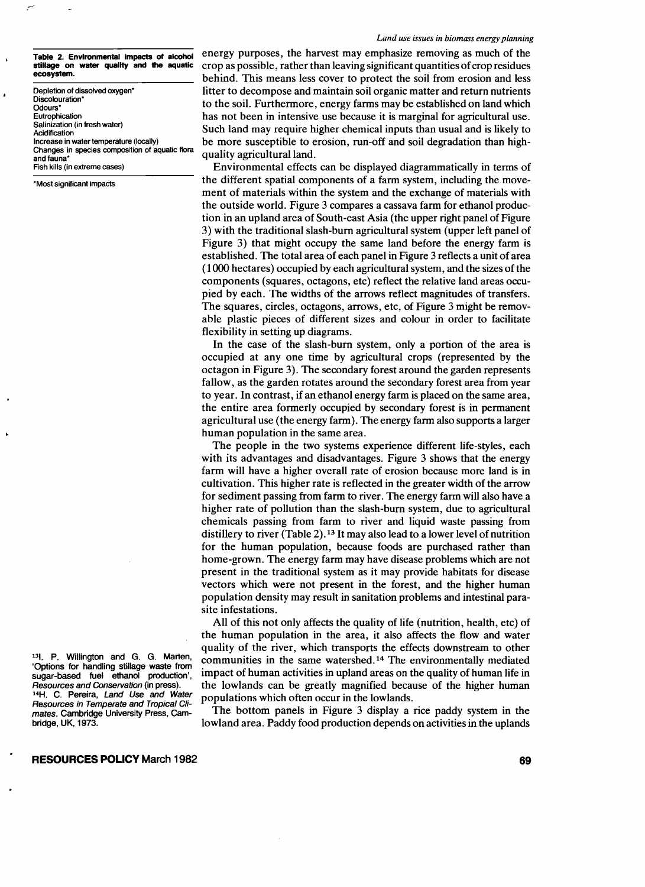#### *Land use issues in biomass energy planning*

Table 2. Environmental impacts ot alcohol stillage on water quality and the aquatic ecosystem.

Depletion of dissolved oxygen<sup>\*</sup> Discolouration\* Odours\* Odours\*<br>Eutrophication Eutrophication<br>Salinization (in fresh water) Acidification Acidification<br>Increase in water temperature (locally) Increase in water temperature (locally)<br>Changes in species composition of aquatic flora and fauna\* Fish kills (in extreme cases)

\*Most significant impacts

131. P. Willington and G. G. Marten, 'Options for handling stillage waste from sugar-based fuel ethanol production', Resources and Conservation (in press). 14H. C. Pereira, Land Use and Water Resources in Temperate and Tropical Climates. Cambridge University Press, Cambridge, UK, 1973.

energy purposes, the harvest may emphasize removing as much of the crop as possible, rather than leaving significant quantities of crop residues behind. This means less cover to protect the soil from erosion and less litter to decompose and maintain soil organic matter and return nutrients to the soil. Furthermore, energy farms may be established on land which has not been in intensive use because it is marginal for agricultural use. Such land may require higher chemical inputs than usual and is likely to be more susceptible to erosion, run-off and soil degradation than highquality agricultural land.

Environmental effects can be displayed diagrammatically in terms of the different spatial components of a farm system, including the movement of materials within the system and the exchange of materials with the outside world. Figure 3 compares a cassava farm for ethanol production in an upland area of South-east Asia (the upper right panel of Figure 3) with the traditional slash-burn agricultural system (upper left panel of Figure 3) that might occupy the same land before the energy farm is established. The total area of each panel in Figure 3 reflects a unit of area (1000 hectares) occupied by each agricultural system, and the sizes of the components (squares, octagons, etc) reflect the relative land areas occupied by each. The widths of the arrows reflect magnitudes of transfers. The squares, circles, octagons, arrows, etc, of Figure 3 might be removable plastic pieces of different sizes and colour in order to facilitate flexibility in setting up diagrams.

In the case of the slash-burn system, only a portion of the area is occupied at anyone time by agricultural crops (represented by the octagon in Figure 3). The secondary forest around the garden represents fallow, as the garden rotates around the secondary forest area from year to year. In contrast, if an ethanol energy farm is placed on the same area, the entire area formerly occupied by secondary forest is in permanent agricultural use (the energy farm). The energy farm also supports a larger human population in the same area.

The people in the two systems experience different life-styles, each with its advantages and disadvantages. Figure 3 shows that the energy farm will have a higher overall rate of erosion because more land is in cultivation. This higher rate is reflected in the greater width of the arrow for sediment passing from farm to river. The energy farm will also have a higher rate of pollution than the slash-burn system, due to agricultural chemicals passing from farm to river and liquid waste passing from distillery to river (Table 2).<sup>13</sup> It may also lead to a lower level of nutrition for the human population, because foods are purchased rather than home-grown. The energy farm may have disease problems which are not present in the traditional system as it may provide habitats for disease vectors which were not present in the forest, and the higher human population density may result in sanitation problems and intestinal parasite infestations.

All of this not only affects the quality of life (nutrition, health, etc) of the human population in the area, it also affects the flow and water quality of the river, which transports the effects downstream to other communities in the same watershed. 14 The environmentally mediated impact of human activities in upland areas on the quality of human life in the lowlands can be greatly magnified because of the higher human populations which often occur in the lowlands.

The bottom panels in Figure 3 display a rice paddy system in the lowland area. Paddy food production depends on activities in the uplands

#### **RESOURCES POLICY** March 1982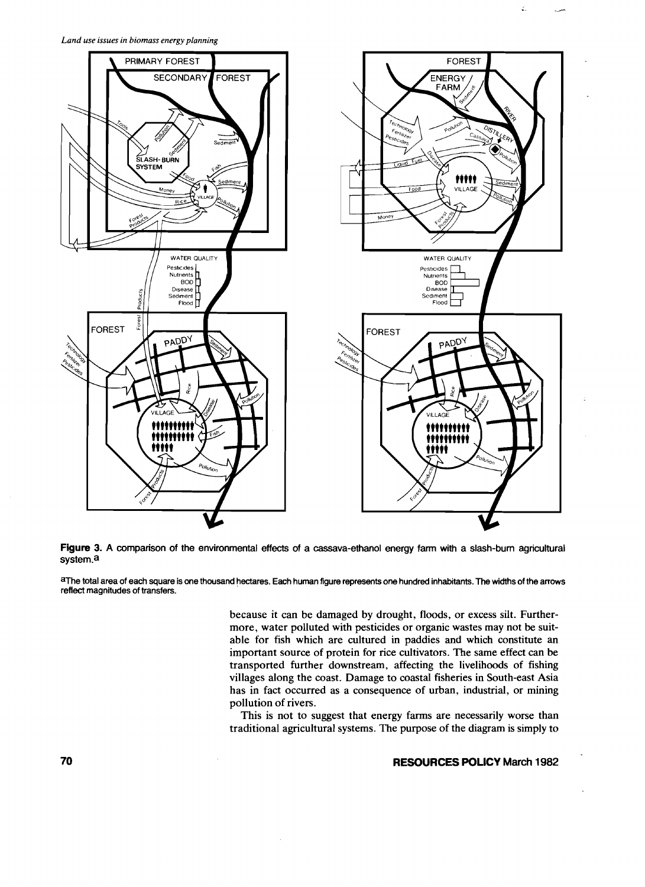



aThe total area of each square is one thousand hectares. Each human figure represents one hundred inhabitants. The widths of the arrows reflect magnitudes of transfers. .

> because it can be damaged by drought, floods, or excess silt. Furthermore, water polluted with pesticides or organic wastes may not be suitable for fish which are cultured in paddies and which constitute an important source of protein for rice cultivators. The same effect can be transported further downstream, affecting the livelihoods of fishing villages along the coast. Damage to coastal fisheries in South-east Asia has in fact occurred as a consequence of urban, industrial, or mining pollution of rivers.

> This is not to suggest that energy farms are necessarily worse than traditional agricultural systems. The purpose of the diagram is simply to

**70 RESOURCES POLICY March 1982**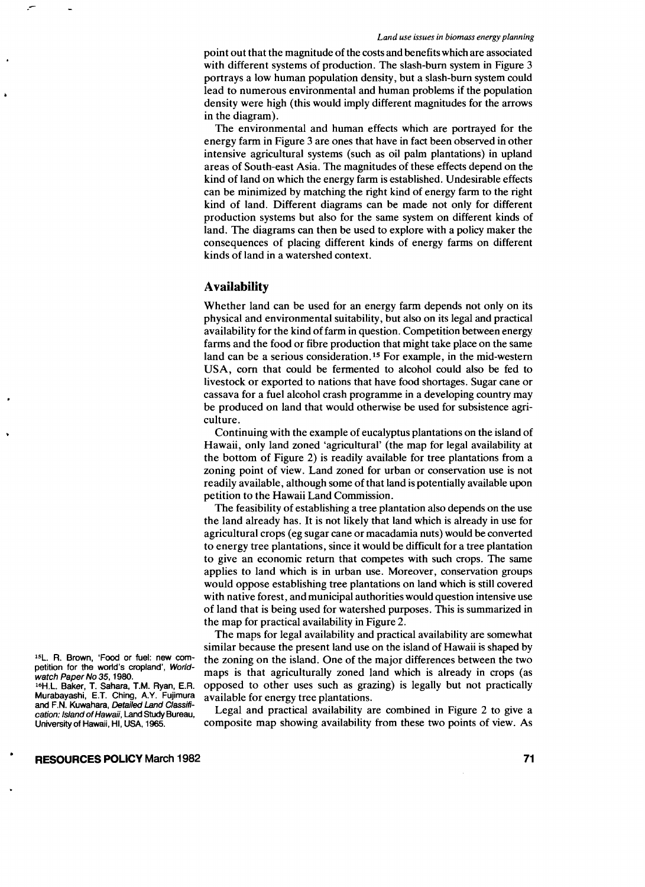point out that the magnitude of the costs and benefits which are associated with different systems of production. The slash-burn system in Figure 3 portrays a low human population density, but a slash-burn system could lead to numerous environmental and human problems if the population density were high (this would imply different magnitudes for the arrows in the diagram).

The environmental and human effects which are portrayed for the energy farm in Figure 3 are ones that have in fact been observed in other intensive agricultural systems (such as oil palm plantations) in upland areas of South-east Asia. The magnitudes of these effects depend on the kind of land on which the energy farm is established. Undesirable effects can be minimized by matching the right kind of energy farm to the right kind of land. Different diagrams can be made not only for different production systems but also for the same system on different kinds of land. The diagrams can then be used to explore with a policy maker the consequences of placing different kinds of energy farms on different kinds of land in a watershed context.

### **Availability**

Whether land can be used for an energy farm depends not only on its physical and environmental suitability, but also on its legal and practical availability for the kind of farm in question. Competition between energy farms and the food or fibre production that might take place on the same land can be a serious consideration.<sup>15</sup> For example, in the mid-western USA, corn that could be fermented to alcohol could also be fed to livestock or exported to nations that have food shortages. Sugar cane or cassava for a fuel alcohol crash programme in a developing country may be produced on land that would otherwise be used for subsistence agriculture.

Continuing with the example of eucalyptus plantations on the island of Hawaii, only land zoned 'agricultural' (the map for legal availability at the bottom of Figure 2) is readily available for tree plantations from a zoning point of view. Land zoned for urban or conservation use is not readily available, although some of that land is potentially available upon petition to the Hawaii Land Commission.

The feasibility of establishing a tree plantation also depends on the use the land already has. It is not likely that land which is already in use for agricultural crops (eg sugar cane or macadamia nuts) would be converted to energy tree plantations, since it would be difficult for a tree plantation to give an economic return that competes with such crops. The same applies to land which is in urban use. Moreover, conservation groups would oppose establishing tree plantations on land which is still covered with native forest, and municipal authorities would question intensive use of land that is being used for watershed purposes. This is summarized in the map for practical availability in Figure 2.

 maps is that agriculturally zoned land which is already in crops (as The maps for legal availability and practical availability are somewhat similar because the present land use on the island of Hawaii is shaped by the zoning on the island. One of the major differences between the two opposed to other uses such as grazing) is legally but not practically available for energy tree plantations.

 Legal and practical availability are combined in Figure 2 to give a composite map showing availability from these two points of view. As

cation: Island of Hawaii, Land Study Bureau, University of Hawaii, HI, USA, 1965.

<sup>15</sup>L. R. Brown, 'Food or fuel: new com petition for the world's cropland', Worldwatch Paper No 35, 1980. 16H.L. Baker, T. Sahara, T.M. Ryan, E.R. Murabayashi, E.T. Ching, A.Y. Fujimura and F.N. Kuwahara, Detailed Land Classifi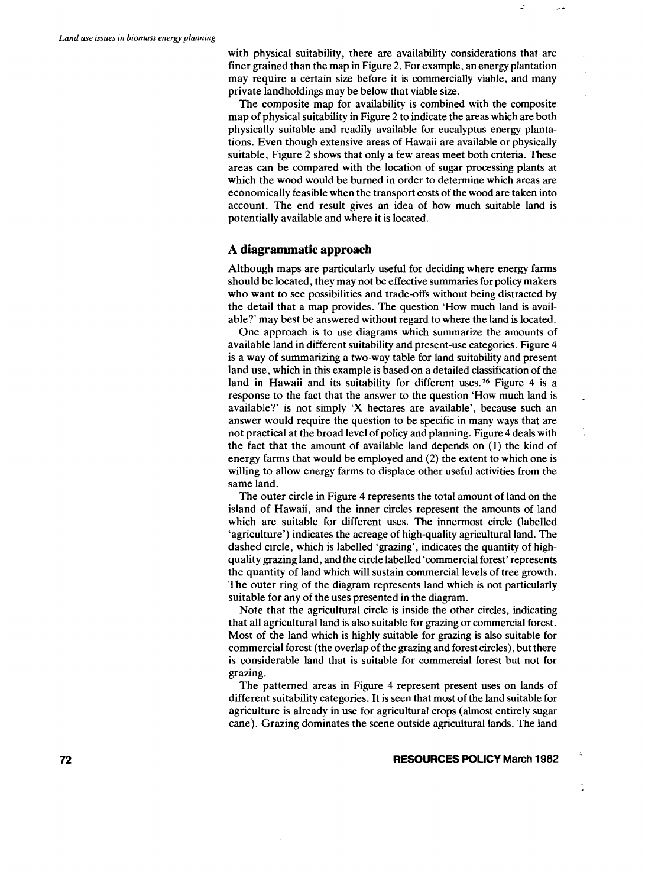with physical suitability, there are availability considerations that are finer grained than the map in Figure 2. For example, an energy plantation may require a certain size before it is commercially viable, and many private landholdings may be below that viable size.

The composite map for availability is combined with the composite map of physical suitability in Figure 2 to indicate the areas which are both physically suitable and readily available for eucalyptus energy plantations. Even though extensive areas of Hawaii are available or physically suitable, Figure 2 shows that only a few areas meet both criteria. These areas can be compared with the location of sugar processing plants at which the wood would be burned in order to determine which areas are economically feasible when the transport costs of the wood are taken into account. The end result gives an idea of how much suitable land is potentially available and where it is located.

## A **diagrammatic approach**

Although maps are particularly useful for deciding where energy farms should be located, they may not be effective summaries for policy makers who want to see possibilities and trade-offs without being distracted by the detail that a map provides. The question 'How much land is available?' may best be answered without regard to where the land is located.

One approach is to use diagrams which summarize the amounts of available land in different suitability and present-use categories. Figure 4 is a way of summarizing a two-way table for land suitability and present land use, which in this example is based on a detailed classification of the land in Hawaii and its suitability for different uses.<sup>16</sup> Figure 4 is a response to the fact that the answer to the question 'How much land is available?' is not simply 'X hectares are available', because such an answer would require the question to be specific in many ways that are not practical at the broad level of policy and planning. Figure 4 deals with the fact that the amount of available land depends on (1) the kind of energy farms that would be employed and (2) the extent to which one is willing to allow energy farms to displace other useful activities from the same land.

The outer circle in Figure 4 represents the total amount of land on the island of Hawaii, and the inner circles represent the amounts of land which are suitable for different uses. The innermost circle (labelled 'agriculture') indicates the acreage of high-quality agricultural land. The dashed circle, which is labelled 'grazing', indicates the quantity of highquality grazing land, and the circle labelled 'commercial forest' represents the quantity of land which will sustain commercial levels of tree growth. The outer ring of the diagram represents land which is not particularly suitable for any of the uses presented in the diagram.

Note that the agricultural circle is inside the other circles, indicating that all agricultural land is also suitable for grazing or commercial forest. Most of the land which is highly suitable for grazing is also suitable for commercial forest (the overlap of the grazing and forest circles), but there is considerable land that is suitable for commercial forest but not for grazing.

The patterned areas in Figure 4 represent present uses on lands of different suitability categories. It is seen that most of the land suitable for agriculture is already in use for agricultural crops (almost entirely sugar cane). Grazing dominates the scene outside agricultural lands. The land  $\overline{\phantom{a}}$ 

 $\ddot{\phantom{a}}$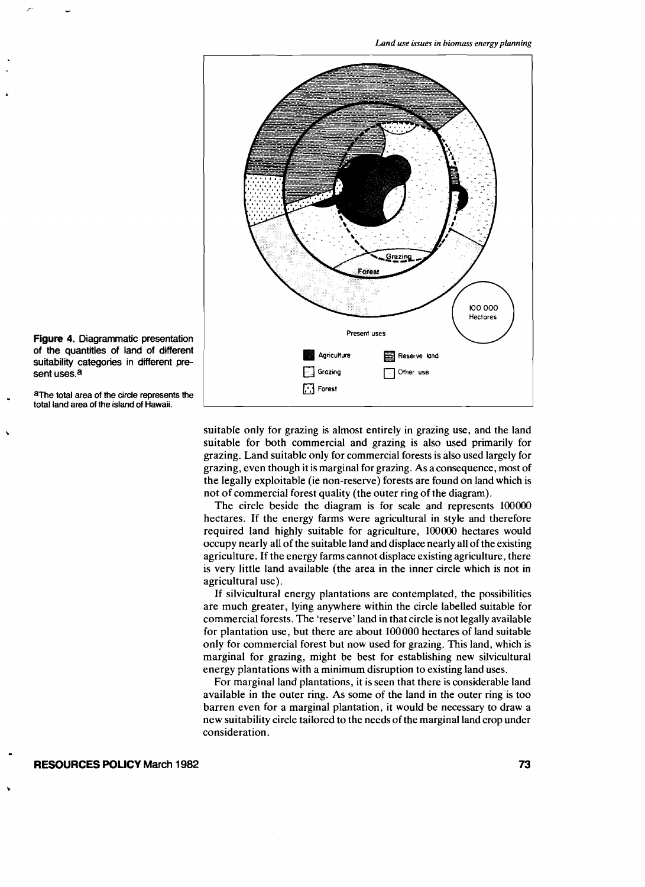*Land use issues in biomass energy planning* 



**Figure 4.** Diagrammatic presentation of the quantities of land of different suitability categories in different present uses.<sup>a</sup>

.~

aThe total area of the circle represents the total land area of the island of Hawaii.

> suitable only for grazing is almost entirely in grazing use, and the land suitable for both commercial and grazing is also used primarily for grazing. Land suitable only for commercial forests is also used largely for grazing, even though it is marginal for grazing. As a consequence, most of the legally exploitable (ie non-reserve) forests are found on land which is not of commercial forest quality (the outer ring of the diagram).

> The circle beside the diagram is for scale and represents 100000 hectares. If the energy farms were agricultural in style and therefore required land highly suitable for agriculture, 100000 hectares would occupy nearly all of the suitable land and displace nearly all of the existing agriculture. If the energy farms cannot displace existing agriculture, there is very little land available (the area in the inner circle which is not in agricultural use).

> If silvicultural energy plantations are contemplated, the possibilities are much greater, lying anywhere within the circle labelled suitable for commercial forests. The 'reserve' land in that circle is not legally available for plantation use, but there are about 100000 hectares of land suitable only for commercial forest but now used for grazing. This land, which is marginal for grazing, might be best for establishing new silvicultural energy plantations with a minimum disruption to existing land uses.

> For marginal land plantations, it is seen that there is considerable land available in the outer ring. As some of the land in the outer ring is too barren even for a marginal plantation, it would be necessary to draw a new suitability circle tailored to the needs ofthe marginal land crop under consideration.

## **RESOURCES POLICY March 1982**